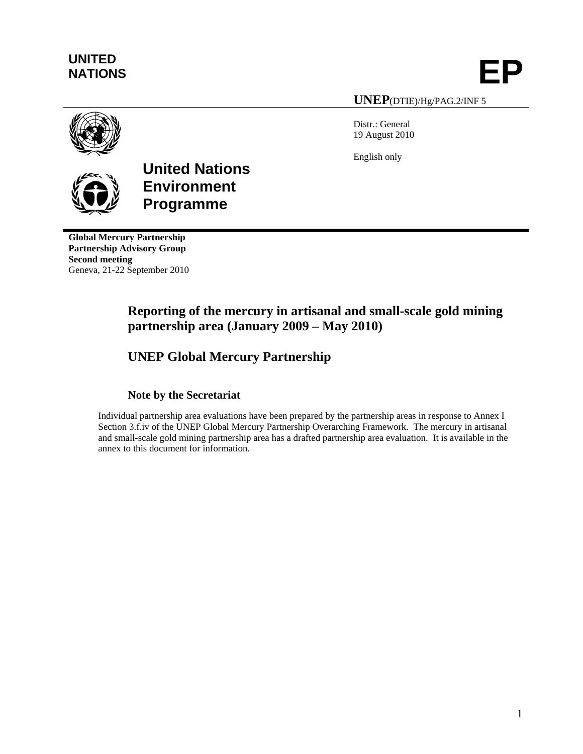# **UNITED**

UNITED<br>NATIONS **EP** 

**UNEP**(DTIE)/Hg/PAG.2/INF 5

Distr.: General 19 August 2010

English only



# **United Nations Environment Programme**

**Global Mercury Partnership Partnership Advisory Group Second meeting**  Geneva, 21-22 September 2010

# **Reporting of the mercury in artisanal and small-scale gold mining partnership area (January 2009 – May 2010)**

# **UNEP Global Mercury Partnership**

### **Note by the Secretariat**

Individual partnership area evaluations have been prepared by the partnership areas in response to Annex I Section 3.f.iv of the UNEP Global Mercury Partnership Overarching Framework. The mercury in artisanal and small-scale gold mining partnership area has a drafted partnership area evaluation. It is available in the annex to this document for information.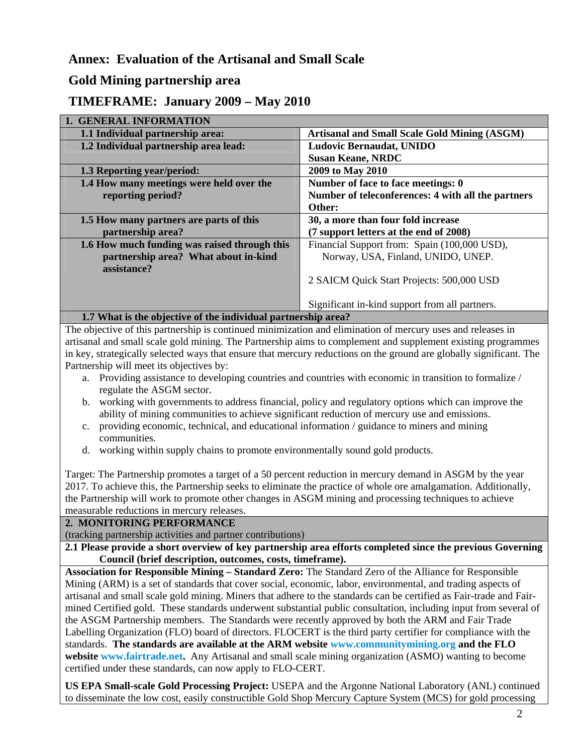# **Annex: Evaluation of the Artisanal and Small Scale**

# **Gold Mining partnership area**

## **TIMEFRAME: January 2009 – May 2010**

| <b>1. GENERAL INFORMATION</b>                                 |                                                     |
|---------------------------------------------------------------|-----------------------------------------------------|
| 1.1 Individual partnership area:                              | <b>Artisanal and Small Scale Gold Mining (ASGM)</b> |
| 1.2 Individual partnership area lead:                         | <b>Ludovic Bernaudat, UNIDO</b>                     |
|                                                               | <b>Susan Keane, NRDC</b>                            |
| 1.3 Reporting year/period:                                    | 2009 to May 2010                                    |
| 1.4 How many meetings were held over the                      | Number of face to face meetings: 0                  |
| reporting period?                                             | Number of teleconferences: 4 with all the partners  |
|                                                               | Other:                                              |
| 1.5 How many partners are parts of this                       | 30, a more than four fold increase                  |
| partnership area?                                             | (7 support letters at the end of 2008)              |
| 1.6 How much funding was raised through this                  | Financial Support from: Spain (100,000 USD),        |
| partnership area? What about in-kind                          | Norway, USA, Finland, UNIDO, UNEP.                  |
| assistance?                                                   |                                                     |
|                                                               | 2 SAICM Quick Start Projects: 500,000 USD           |
|                                                               |                                                     |
|                                                               | Significant in-kind support from all partners.      |
| 1.7 What is the objective of the individual partnership area? |                                                     |

The objective of this partnership is continued minimization and elimination of mercury uses and releases in artisanal and small scale gold mining. The Partnership aims to complement and supplement existing programmes in key, strategically selected ways that ensure that mercury reductions on the ground are globally significant. The Partnership will meet its objectives by:

- a. Providing assistance to developing countries and countries with economic in transition to formalize / regulate the ASGM sector.
- b. working with governments to address financial, policy and regulatory options which can improve the ability of mining communities to achieve significant reduction of mercury use and emissions.
- c. providing economic, technical, and educational information / guidance to miners and mining communities.
- d. working within supply chains to promote environmentally sound gold products.

Target: The Partnership promotes a target of a 50 percent reduction in mercury demand in ASGM by the year 2017. To achieve this, the Partnership seeks to eliminate the practice of whole ore amalgamation. Additionally, the Partnership will work to promote other changes in ASGM mining and processing techniques to achieve measurable reductions in mercury releases.

#### **2. MONITORING PERFORMANCE**

(tracking partnership activities and partner contributions)

**2.1 Please provide a short overview of key partnership area efforts completed since the previous Governing Council (brief description, outcomes, costs, timeframe).** 

**Association for Responsible Mining – Standard Zero:** The Standard Zero of the Alliance for Responsible Mining (ARM) is a set of standards that cover social, economic, labor, environmental, and trading aspects of artisanal and small scale gold mining. Miners that adhere to the standards can be certified as Fair-trade and Fairmined Certified gold. These standards underwent substantial public consultation, including input from several of the ASGM Partnership members. The Standards were recently approved by both the ARM and Fair Trade Labelling Organization (FLO) board of directors. FLOCERT is the third party certifier for compliance with the standards. **The standards are available at the ARM website [www.communitymining.org](http://www.communitymining.org/) and the FLO website [www.fairtrade.net](http://www.fairtrade.net/).** Any Artisanal and small scale mining organization (ASMO) wanting to become certified under these standards, can now apply to FLO-CERT.

**US EPA Small-scale Gold Processing Project:** USEPA and the Argonne National Laboratory (ANL) continued to disseminate the low cost, easily constructible Gold Shop Mercury Capture System (MCS) for gold processing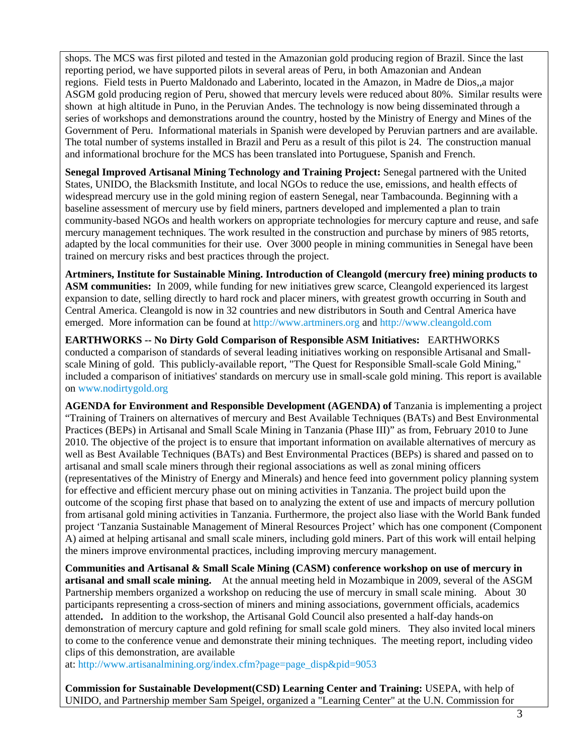shops. The MCS was first piloted and tested in the Amazonian gold producing region of Brazil. Since the last reporting period, we have supported pilots in several areas of Peru, in both Amazonian and Andean regions. Field tests in Puerto Maldonado and Laberinto, located in the Amazon, in Madre de Dios,,a major ASGM gold producing region of Peru, showed that mercury levels were reduced about 80%. Similar results were shown at high altitude in Puno, in the Peruvian Andes. The technology is now being disseminated through a series of workshops and demonstrations around the country, hosted by the Ministry of Energy and Mines of the Government of Peru. Informational materials in Spanish were developed by Peruvian partners and are available. The total number of systems installed in Brazil and Peru as a result of this pilot is 24. The construction manual and informational brochure for the MCS has been translated into Portuguese, Spanish and French.

**Senegal Improved Artisanal Mining Technology and Training Project:** Senegal partnered with the United States, UNIDO, the Blacksmith Institute, and local NGOs to reduce the use, emissions, and health effects of widespread mercury use in the gold mining region of eastern Senegal, near Tambacounda. Beginning with a baseline assessment of mercury use by field miners, partners developed and implemented a plan to train community-based NGOs and health workers on appropriate technologies for mercury capture and reuse, and safe mercury management techniques. The work resulted in the construction and purchase by miners of 985 retorts, adapted by the local communities for their use. Over 3000 people in mining communities in Senegal have been trained on mercury risks and best practices through the project.

**Artminers, Institute for Sustainable Mining. Introduction of Cleangold (mercury free) mining products to ASM communities:** In 2009, while funding for new initiatives grew scarce, Cleangold experienced its largest expansion to date, selling directly to hard rock and placer miners, with greatest growth occurring in South and Central America. Cleangold is now in 32 countries and new distributors in South and Central America have emerged. More information can be found at [http://www.artminers.org](http://www.artminers.org/) and [http://www.cleangold.com](http://www.cleangold.com/)

**EARTHWORKS -- No Dirty Gold Comparison of Responsible ASM Initiatives:** EARTHWORKS conducted a comparison of standards of several leading initiatives working on responsible Artisanal and Smallscale Mining of gold. This publicly-available report, "The Quest for Responsible Small-scale Gold Mining," included a comparison of initiatives' standards on mercury use in small-scale gold mining. This report is available on [www.nodirtygold.org](http://www.nodirtygold.org/)

**AGENDA for Environment and Responsible Development (AGENDA) of** Tanzania is implementing a project "Training of Trainers on alternatives of mercury and Best Available Techniques (BATs) and Best Environmental Practices (BEPs) in Artisanal and Small Scale Mining in Tanzania (Phase III)" as from, February 2010 to June 2010. The objective of the project is to ensure that important information on available alternatives of mercury as well as Best Available Techniques (BATs) and Best Environmental Practices (BEPs) is shared and passed on to artisanal and small scale miners through their regional associations as well as zonal mining officers (representatives of the Ministry of Energy and Minerals) and hence feed into government policy planning system for effective and efficient mercury phase out on mining activities in Tanzania. The project build upon the outcome of the scoping first phase that based on to analyzing the extent of use and impacts of mercury pollution from artisanal gold mining activities in Tanzania. Furthermore, the project also liase with the World Bank funded project 'Tanzania Sustainable Management of Mineral Resources Project' which has one component (Component A) aimed at helping artisanal and small scale miners, including gold miners. Part of this work will entail helping the miners improve environmental practices, including improving mercury management.

**Communities and Artisanal & Small Scale Mining (CASM) conference workshop on use of mercury in artisanal and small scale mining.** At the annual meeting held in Mozambique in 2009, several of the ASGM Partnership members organized a workshop on reducing the use of mercury in small scale mining. About 30 participants representing a cross-section of miners and mining associations, government officials, academics attended**.** In addition to the workshop, the Artisanal Gold Council also presented a half-day hands-on demonstration of mercury capture and gold refining for small scale gold miners. They also invited local miners to come to the conference venue and demonstrate their mining techniques. The meeting report, including video clips of this demonstration, are available

at: [http://www.artisanalmining.org/index.cfm?page=page\\_disp&pid=9053](http://www.artisanalmining.org/index.cfm?page=page_disp&pid=9053) 

**Commission for Sustainable Development(CSD) Learning Center and Training:** USEPA, with help of UNIDO, and Partnership member Sam Speigel, organized a "Learning Center" at the U.N. Commission for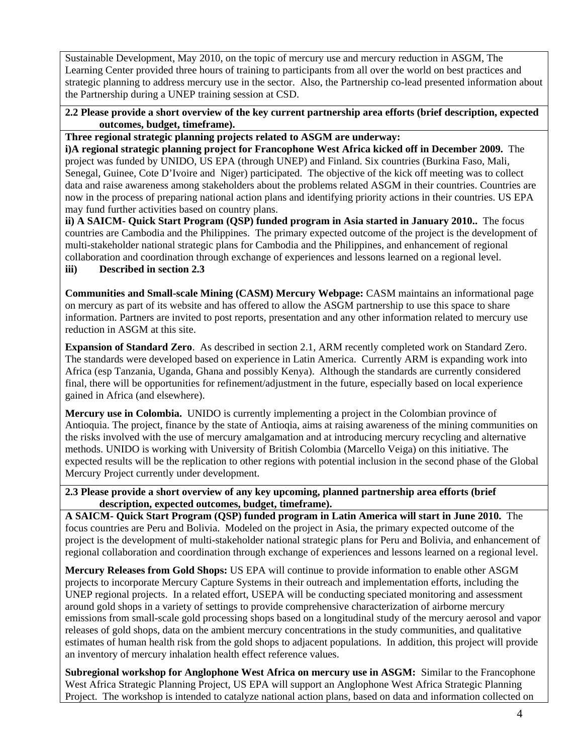Sustainable Development, May 2010, on the topic of mercury use and mercury reduction in ASGM, The Learning Center provided three hours of training to participants from all over the world on best practices and strategic planning to address mercury use in the sector. Also, the Partnership co-lead presented information about the Partnership during a UNEP training session at CSD.

#### **2.2 Please provide a short overview of the key current partnership area efforts (brief description, expected outcomes, budget, timeframe).**

#### **Three regional strategic planning projects related to ASGM are underway:**

**i)A regional strategic planning project for Francophone West Africa kicked off in December 2009.** The project was funded by UNIDO, US EPA (through UNEP) and Finland. Six countries (Burkina Faso, Mali, Senegal, Guinee, Cote D'Ivoire and Niger) participated. The objective of the kick off meeting was to collect data and raise awareness among stakeholders about the problems related ASGM in their countries. Countries are now in the process of preparing national action plans and identifying priority actions in their countries. US EPA may fund further activities based on country plans.

**ii) A SAICM- Quick Start Program (QSP) funded program in Asia started in January 2010..** The focus countries are Cambodia and the Philippines. The primary expected outcome of the project is the development of multi-stakeholder national strategic plans for Cambodia and the Philippines, and enhancement of regional collaboration and coordination through exchange of experiences and lessons learned on a regional level. **iii) Described in section 2.3** 

**Communities and Small-scale Mining (CASM) Mercury Webpage:** CASM maintains an informational page on mercury as part of its website and has offered to allow the ASGM partnership to use this space to share information. Partners are invited to post reports, presentation and any other information related to mercury use reduction in ASGM at this site.

**Expansion of Standard Zero**. As described in section 2.1, ARM recently completed work on Standard Zero. The standards were developed based on experience in Latin America. Currently ARM is expanding work into Africa (esp Tanzania, Uganda, Ghana and possibly Kenya). Although the standards are currently considered final, there will be opportunities for refinement/adjustment in the future, especially based on local experience gained in Africa (and elsewhere).

**Mercury use in Colombia.** UNIDO is currently implementing a project in the Colombian province of Antioquia. The project, finance by the state of Antioqia, aims at raising awareness of the mining communities on the risks involved with the use of mercury amalgamation and at introducing mercury recycling and alternative methods. UNIDO is working with University of British Colombia (Marcello Veiga) on this initiative. The expected results will be the replication to other regions with potential inclusion in the second phase of the Global Mercury Project currently under development.

#### **2.3 Please provide a short overview of any key upcoming, planned partnership area efforts (brief description, expected outcomes, budget, timeframe).**

**A SAICM- Quick Start Program (QSP) funded program in Latin America will start in June 2010.** The focus countries are Peru and Bolivia. Modeled on the project in Asia, the primary expected outcome of the project is the development of multi-stakeholder national strategic plans for Peru and Bolivia, and enhancement of regional collaboration and coordination through exchange of experiences and lessons learned on a regional level.

**Mercury Releases from Gold Shops:** US EPA will continue to provide information to enable other ASGM projects to incorporate Mercury Capture Systems in their outreach and implementation efforts, including the UNEP regional projects. In a related effort, USEPA will be conducting speciated monitoring and assessment around gold shops in a variety of settings to provide comprehensive characterization of airborne mercury emissions from small-scale gold processing shops based on a longitudinal study of the mercury aerosol and vapor releases of gold shops, data on the ambient mercury concentrations in the study communities, and qualitative estimates of human health risk from the gold shops to adjacent populations. In addition, this project will provide an inventory of mercury inhalation health effect reference values.

**Subregional workshop for Anglophone West Africa on mercury use in ASGM:** Similar to the Francophone West Africa Strategic Planning Project, US EPA will support an Anglophone West Africa Strategic Planning Project. The workshop is intended to catalyze national action plans, based on data and information collected on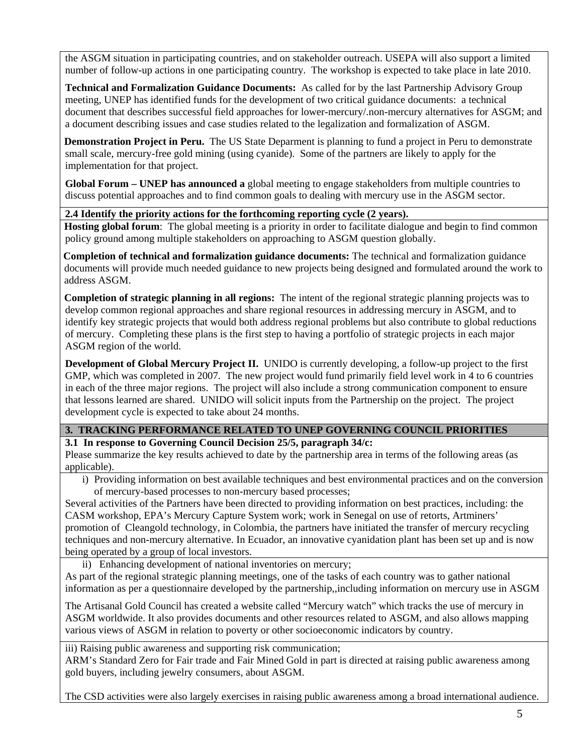the ASGM situation in participating countries, and on stakeholder outreach. USEPA will also support a limited number of follow-up actions in one participating country. The workshop is expected to take place in late 2010.

**Technical and Formalization Guidance Documents:** As called for by the last Partnership Advisory Group meeting, UNEP has identified funds for the development of two critical guidance documents: a technical document that describes successful field approaches for lower-mercury/.non-mercury alternatives for ASGM; and a document describing issues and case studies related to the legalization and formalization of ASGM.

**Demonstration Project in Peru.** The US State Deparment is planning to fund a project in Peru to demonstrate small scale, mercury-free gold mining (using cyanide). Some of the partners are likely to apply for the implementation for that project.

**Global Forum – UNEP has announced a** global meeting to engage stakeholders from multiple countries to discuss potential approaches and to find common goals to dealing with mercury use in the ASGM sector.

#### **2.4 Identify the priority actions for the forthcoming reporting cycle (2 years).**

**Hosting global forum**: The global meeting is a priority in order to facilitate dialogue and begin to find common policy ground among multiple stakeholders on approaching to ASGM question globally.

**Completion of technical and formalization guidance documents:** The technical and formalization guidance documents will provide much needed guidance to new projects being designed and formulated around the work to address ASGM.

**Completion of strategic planning in all regions:** The intent of the regional strategic planning projects was to develop common regional approaches and share regional resources in addressing mercury in ASGM, and to identify key strategic projects that would both address regional problems but also contribute to global reductions of mercury. Completing these plans is the first step to having a portfolio of strategic projects in each major ASGM region of the world.

**Development of Global Mercury Project II.** UNIDO is currently developing, a follow-up project to the first GMP, which was completed in 2007. The new project would fund primarily field level work in 4 to 6 countries in each of the three major regions. The project will also include a strong communication component to ensure that lessons learned are shared. UNIDO will solicit inputs from the Partnership on the project. The project development cycle is expected to take about 24 months.

#### **3. TRACKING PERFORMANCE RELATED TO UNEP GOVERNING COUNCIL PRIORITIES**

**3.1 In response to Governing Council Decision 25/5, paragraph 34/c:**

Please summarize the key results achieved to date by the partnership area in terms of the following areas (as applicable).

i) Providing information on best available techniques and best environmental practices and on the conversion of mercury-based processes to non-mercury based processes;

Several activities of the Partners have been directed to providing information on best practices, including: the CASM workshop, EPA's Mercury Capture System work; work in Senegal on use of retorts, Artminers' promotion of Cleangold technology, in Colombia, the partners have initiated the transfer of mercury recycling techniques and non-mercury alternative. In Ecuador, an innovative cyanidation plant has been set up and is now being operated by a group of local investors.

ii) Enhancing development of national inventories on mercury;

As part of the regional strategic planning meetings, one of the tasks of each country was to gather national information as per a questionnaire developed by the partnership,,including information on mercury use in ASGM

The Artisanal Gold Council has created a website called "Mercury watch" which tracks the use of mercury in ASGM worldwide. It also provides documents and other resources related to ASGM, and also allows mapping various views of ASGM in relation to poverty or other socioeconomic indicators by country.

iii) Raising public awareness and supporting risk communication;

ARM's Standard Zero for Fair trade and Fair Mined Gold in part is directed at raising public awareness among gold buyers, including jewelry consumers, about ASGM.

The CSD activities were also largely exercises in raising public awareness among a broad international audience.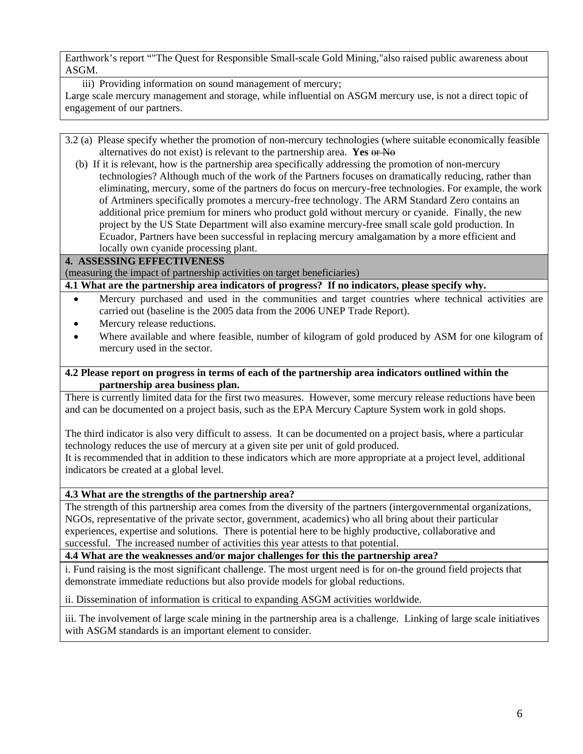Earthwork's report ""The Quest for Responsible Small-scale Gold Mining,"also raised public awareness about ASGM.

iii) Providing information on sound management of mercury;

Large scale mercury management and storage, while influential on ASGM mercury use, is not a direct topic of engagement of our partners.

- 3.2 (a) Please specify whether the promotion of non-mercury technologies (where suitable economically feasible alternatives do not exist) is relevant to the partnership area. **Yes** or No
	- (b) If it is relevant, how is the partnership area specifically addressing the promotion of non-mercury technologies? Although much of the work of the Partners focuses on dramatically reducing, rather than eliminating, mercury, some of the partners do focus on mercury-free technologies. For example, the work of Artminers specifically promotes a mercury-free technology. The ARM Standard Zero contains an additional price premium for miners who product gold without mercury or cyanide. Finally, the new project by the US State Department will also examine mercury-free small scale gold production. In Ecuador, Partners have been successful in replacing mercury amalgamation by a more efficient and locally own cyanide processing plant.

#### **4. ASSESSING EFFECTIVENESS**

(measuring the impact of partnership activities on target beneficiaries)

**4.1 What are the partnership area indicators of progress? If no indicators, please specify why.** 

- Mercury purchased and used in the communities and target countries where technical activities are carried out (baseline is the 2005 data from the 2006 UNEP Trade Report).
- Mercury release reductions.
- Where available and where feasible, number of kilogram of gold produced by ASM for one kilogram of mercury used in the sector.

#### **4.2 Please report on progress in terms of each of the partnership area indicators outlined within the partnership area business plan.**

There is currently limited data for the first two measures. However, some mercury release reductions have been and can be documented on a project basis, such as the EPA Mercury Capture System work in gold shops.

The third indicator is also very difficult to assess. It can be documented on a project basis, where a particular technology reduces the use of mercury at a given site per unit of gold produced.

It is recommended that in addition to these indicators which are more appropriate at a project level, additional indicators be created at a global level.

#### **4.3 What are the strengths of the partnership area?**

The strength of this partnership area comes from the diversity of the partners (intergovernmental organizations, NGOs, representative of the private sector, government, academics) who all bring about their particular experiences, expertise and solutions. There is potential here to be highly productive, collaborative and successful. The increased number of activities this year attests to that potential.

#### **4.4 What are the weaknesses and/or major challenges for this the partnership area?**

i. Fund raising is the most significant challenge. The most urgent need is for on-the ground field projects that demonstrate immediate reductions but also provide models for global reductions.

ii. Dissemination of information is critical to expanding ASGM activities worldwide.

iii. The involvement of large scale mining in the partnership area is a challenge. Linking of large scale initiatives with ASGM standards is an important element to consider.